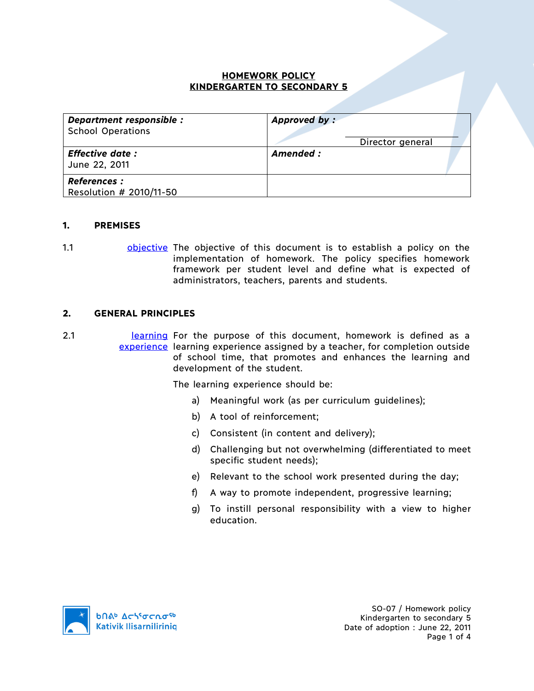### **HOMEWORK POLICY KINDERGARTEN TO SECONDARY 5**

| Department responsible :<br><b>School Operations</b> | Approved by:<br>Director general |
|------------------------------------------------------|----------------------------------|
| <b>Effective date:</b><br>June 22, 2011              | Amended :                        |
| <b>References :</b><br>Resolution # 2010/11-50       |                                  |

### **1. PREMISES**

1.1 **bushere objective** The objective of this document is to establish a policy on the implementation of homework. The policy specifies homework framework per student level and define what is expected of administrators, teachers, parents and students.

#### **2. GENERAL PRINCIPLES**

2.1 **Learning** For the purpose of this document, homework is defined as a experience learning experience assigned by a teacher, for completion outside of school time, that promotes and enhances the learning and development of the student.

The learning experience should be:

- a) Meaningful work (as per curriculum guidelines);
- b) A tool of reinforcement;
- c) Consistent (in content and delivery);
- d) Challenging but not overwhelming (differentiated to meet specific student needs);
- e) Relevant to the school work presented during the day;
- f) A way to promote independent, progressive learning;
- g) To instill personal responsibility with a view to higher education.

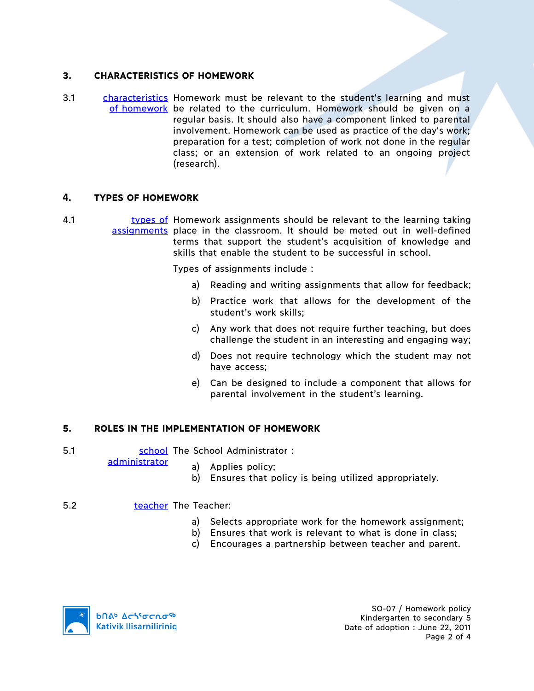## **3. CHARACTERISTICS OF HOMEWORK**

3.1 characteristics Homework must be relevant to the student's learning and must of homework be related to the curriculum. Homework should be given on a regular basis. It should also have a component linked to parental involvement. Homework can be used as practice of the day's work; preparation for a test; completion of work not done in the regular class; or an extension of work related to an ongoing project (research).

### **4. TYPES OF HOMEWORK**

4.1 **types of Homework assignments should be relevant to the learning taking** assignments place in the classroom. It should be meted out in well-defined terms that support the student's acquisition of knowledge and skills that enable the student to be successful in school.

Types of assignments include :

- a) Reading and writing assignments that allow for feedback;
- b) Practice work that allows for the development of the student's work skills;
- c) Any work that does not require further teaching, but does challenge the student in an interesting and engaging way;
- d) Does not require technology which the student may not have access;
- e) Can be designed to include a component that allows for parental involvement in the student's learning.

## **5. ROLES IN THE IMPLEMENTATION OF HOMEWORK**

5.1 School The School Administrator : administrator

a) Applies policy;

b) Ensures that policy is being utilized appropriately.

#### 5.2 teacher The Teacher:

- a) Selects appropriate work for the homework assignment;
- b) Ensures that work is relevant to what is done in class;
- c) Encourages a partnership between teacher and parent.

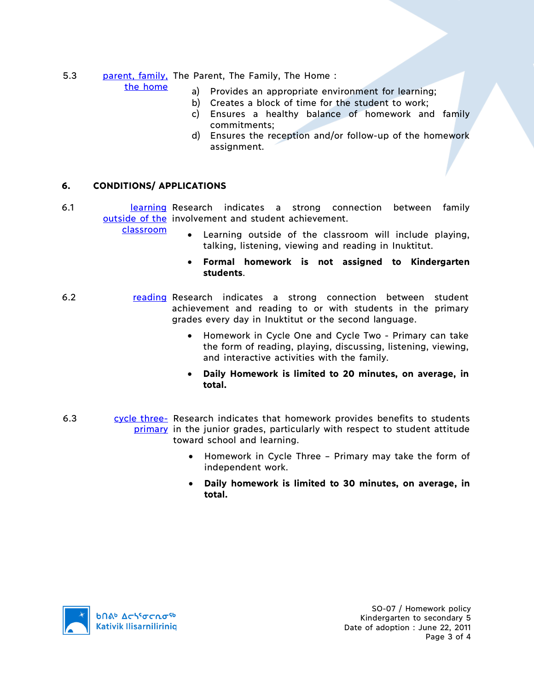# 5.3 parent, family, The Parent, The Family, The Home:

the home

- a) Provides an appropriate environment for learning;
- b) Creates a block of time for the student to work;
- c) Ensures a healthy balance of homework and family commitments;
- d) Ensures the reception and/or follow-up of the homework assignment.

## **6. CONDITIONS/ APPLICATIONS**

6.1 **Learning Research indicates a strong connection between family** outside of the involvement and student achievement.

classroom

- Learning outside of the classroom will include playing, talking, listening, viewing and reading in Inuktitut.
- **Formal homework is not assigned to Kindergarten students**.
- 6.2 reading Research indicates a strong connection between student achievement and reading to or with students in the primary grades every day in Inuktitut or the second language.
	- Homework in Cycle One and Cycle Two Primary can take the form of reading, playing, discussing, listening, viewing, and interactive activities with the family.
	- **Daily Homework is limited to 20 minutes, on average, in total.**
- 6.3 cycle three- Research indicates that homework provides benefits to students primary in the junior grades, particularly with respect to student attitude toward school and learning.
	- Homework in Cycle Three Primary may take the form of independent work.
	- **Daily homework is limited to 30 minutes, on average, in total.**